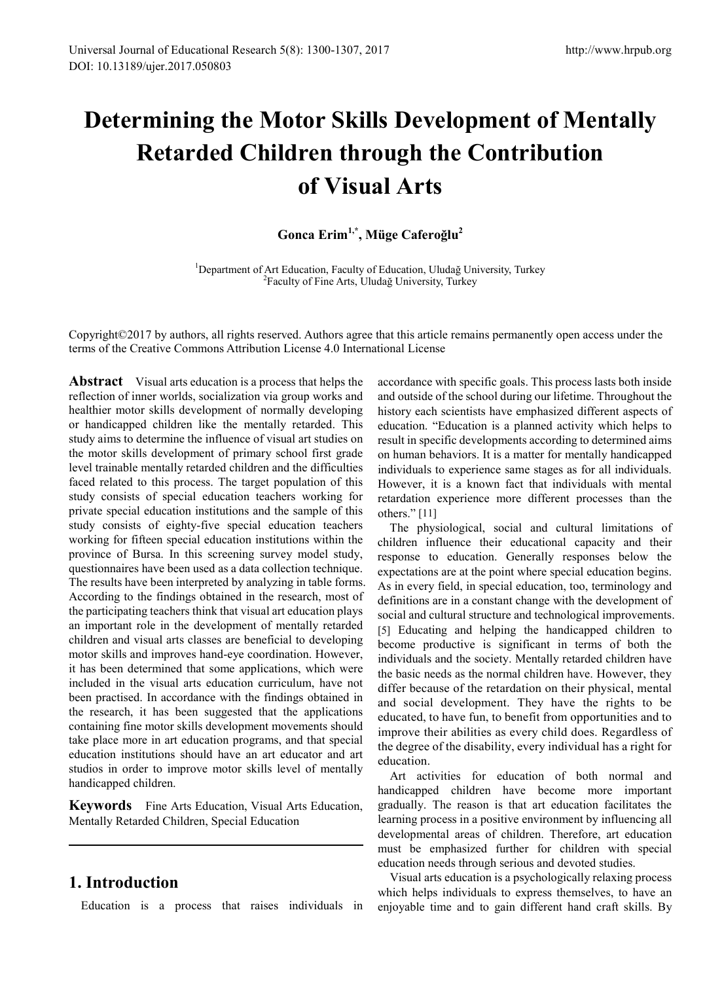# **Determining the Motor Skills Development of Mentally Retarded Children through the Contribution of Visual Arts**

# **Gonca Erim1,\*, Müge Caferoğlu<sup>2</sup>**

<sup>1</sup>Department of Art Education, Faculty of Education, Uludağ University, Turkey <sup>2</sup>Faculty of Fine Arts, Uludağ University, Turkey

Copyright©2017 by authors, all rights reserved. Authors agree that this article remains permanently open access under the terms of the Creative Commons Attribution License 4.0 International License

**Abstract** Visual arts education is a process that helps the reflection of inner worlds, socialization via group works and healthier motor skills development of normally developing or handicapped children like the mentally retarded. This study aims to determine the influence of visual art studies on the motor skills development of primary school first grade level trainable mentally retarded children and the difficulties faced related to this process. The target population of this study consists of special education teachers working for private special education institutions and the sample of this study consists of eighty-five special education teachers working for fifteen special education institutions within the province of Bursa. In this screening survey model study, questionnaires have been used as a data collection technique. The results have been interpreted by analyzing in table forms. According to the findings obtained in the research, most of the participating teachers think that visual art education plays an important role in the development of mentally retarded children and visual arts classes are beneficial to developing motor skills and improves hand-eye coordination. However, it has been determined that some applications, which were included in the visual arts education curriculum, have not been practised. In accordance with the findings obtained in the research, it has been suggested that the applications containing fine motor skills development movements should take place more in art education programs, and that special education institutions should have an art educator and art studios in order to improve motor skills level of mentally handicapped children.

**Keywords** Fine Arts Education, Visual Arts Education, Mentally Retarded Children, Special Education

# **1. Introduction**

Education is a process that raises individuals in

accordance with specific goals. This process lasts both inside and outside of the school during our lifetime. Throughout the history each scientists have emphasized different aspects of education. "Education is a planned activity which helps to result in specific developments according to determined aims on human behaviors. It is a matter for mentally handicapped individuals to experience same stages as for all individuals. However, it is a known fact that individuals with mental retardation experience more different processes than the others." [11]

The physiological, social and cultural limitations of children influence their educational capacity and their response to education. Generally responses below the expectations are at the point where special education begins. As in every field, in special education, too, terminology and definitions are in a constant change with the development of social and cultural structure and technological improvements. [5] Educating and helping the handicapped children to become productive is significant in terms of both the individuals and the society. Mentally retarded children have the basic needs as the normal children have. However, they differ because of the retardation on their physical, mental and social development. They have the rights to be educated, to have fun, to benefit from opportunities and to improve their abilities as every child does. Regardless of the degree of the disability, every individual has a right for education.

Art activities for education of both normal and handicapped children have become more important gradually. The reason is that art education facilitates the learning process in a positive environment by influencing all developmental areas of children. Therefore, art education must be emphasized further for children with special education needs through serious and devoted studies.

Visual arts education is a psychologically relaxing process which helps individuals to express themselves, to have an enjoyable time and to gain different hand craft skills. By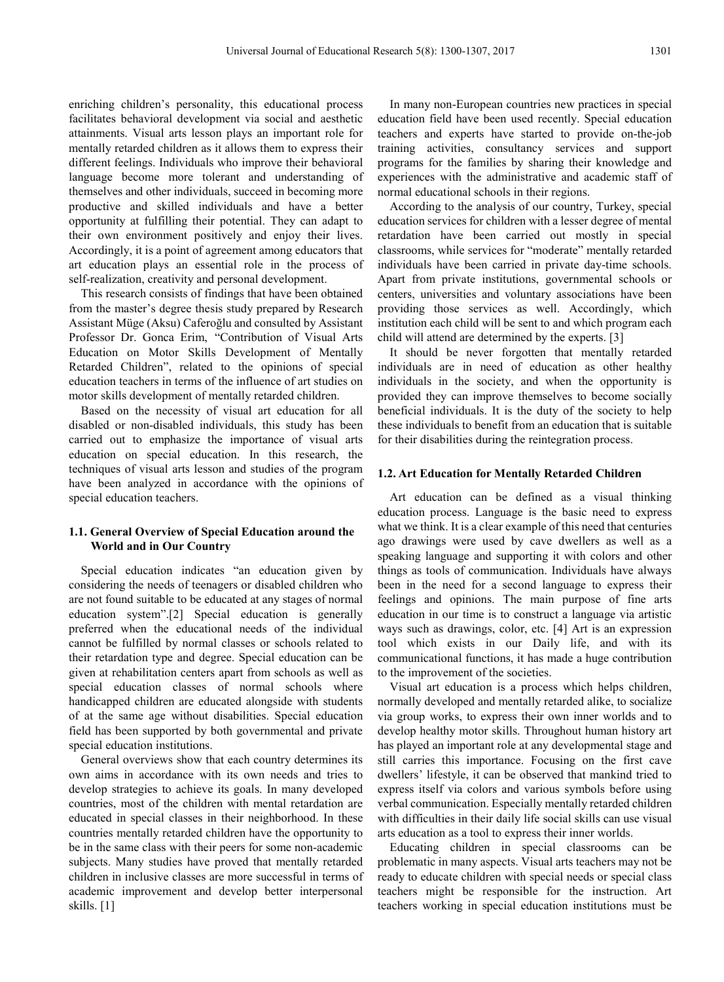enriching children's personality, this educational process facilitates behavioral development via social and aesthetic attainments. Visual arts lesson plays an important role for mentally retarded children as it allows them to express their different feelings. Individuals who improve their behavioral language become more tolerant and understanding of themselves and other individuals, succeed in becoming more productive and skilled individuals and have a better opportunity at fulfilling their potential. They can adapt to their own environment positively and enjoy their lives. Accordingly, it is a point of agreement among educators that art education plays an essential role in the process of self-realization, creativity and personal development.

This research consists of findings that have been obtained from the master's degree thesis study prepared by Research Assistant Müge (Aksu) Caferoğlu and consulted by Assistant Professor Dr. Gonca Erim, "Contribution of Visual Arts Education on Motor Skills Development of Mentally Retarded Children", related to the opinions of special education teachers in terms of the influence of art studies on motor skills development of mentally retarded children.

Based on the necessity of visual art education for all disabled or non-disabled individuals, this study has been carried out to emphasize the importance of visual arts education on special education. In this research, the techniques of visual arts lesson and studies of the program have been analyzed in accordance with the opinions of special education teachers.

#### **1.1. General Overview of Special Education around the World and in Our Country**

Special education indicates "an education given by considering the needs of teenagers or disabled children who are not found suitable to be educated at any stages of normal education system".[2] Special education is generally preferred when the educational needs of the individual cannot be fulfilled by normal classes or schools related to their retardation type and degree. Special education can be given at rehabilitation centers apart from schools as well as special education classes of normal schools where handicapped children are educated alongside with students of at the same age without disabilities. Special education field has been supported by both governmental and private special education institutions.

General overviews show that each country determines its own aims in accordance with its own needs and tries to develop strategies to achieve its goals. In many developed countries, most of the children with mental retardation are educated in special classes in their neighborhood. In these countries mentally retarded children have the opportunity to be in the same class with their peers for some non-academic subjects. Many studies have proved that mentally retarded children in inclusive classes are more successful in terms of academic improvement and develop better interpersonal skills. [1]

In many non-European countries new practices in special education field have been used recently. Special education teachers and experts have started to provide on-the-job training activities, consultancy services and support programs for the families by sharing their knowledge and experiences with the administrative and academic staff of normal educational schools in their regions.

According to the analysis of our country, Turkey, special education services for children with a lesser degree of mental retardation have been carried out mostly in special classrooms, while services for "moderate" mentally retarded individuals have been carried in private day-time schools. Apart from private institutions, governmental schools or centers, universities and voluntary associations have been providing those services as well. Accordingly, which institution each child will be sent to and which program each child will attend are determined by the experts. [3]

It should be never forgotten that mentally retarded individuals are in need of education as other healthy individuals in the society, and when the opportunity is provided they can improve themselves to become socially beneficial individuals. It is the duty of the society to help these individuals to benefit from an education that is suitable for their disabilities during the reintegration process.

#### **1.2. Art Education for Mentally Retarded Children**

Art education can be defined as a visual thinking education process. Language is the basic need to express what we think. It is a clear example of this need that centuries ago drawings were used by cave dwellers as well as a speaking language and supporting it with colors and other things as tools of communication. Individuals have always been in the need for a second language to express their feelings and opinions. The main purpose of fine arts education in our time is to construct a language via artistic ways such as drawings, color, etc. [4] Art is an expression tool which exists in our Daily life, and with its communicational functions, it has made a huge contribution to the improvement of the societies.

Visual art education is a process which helps children, normally developed and mentally retarded alike, to socialize via group works, to express their own inner worlds and to develop healthy motor skills. Throughout human history art has played an important role at any developmental stage and still carries this importance. Focusing on the first cave dwellers' lifestyle, it can be observed that mankind tried to express itself via colors and various symbols before using verbal communication. Especially mentally retarded children with difficulties in their daily life social skills can use visual arts education as a tool to express their inner worlds.

Educating children in special classrooms can be problematic in many aspects. Visual arts teachers may not be ready to educate children with special needs or special class teachers might be responsible for the instruction. Art teachers working in special education institutions must be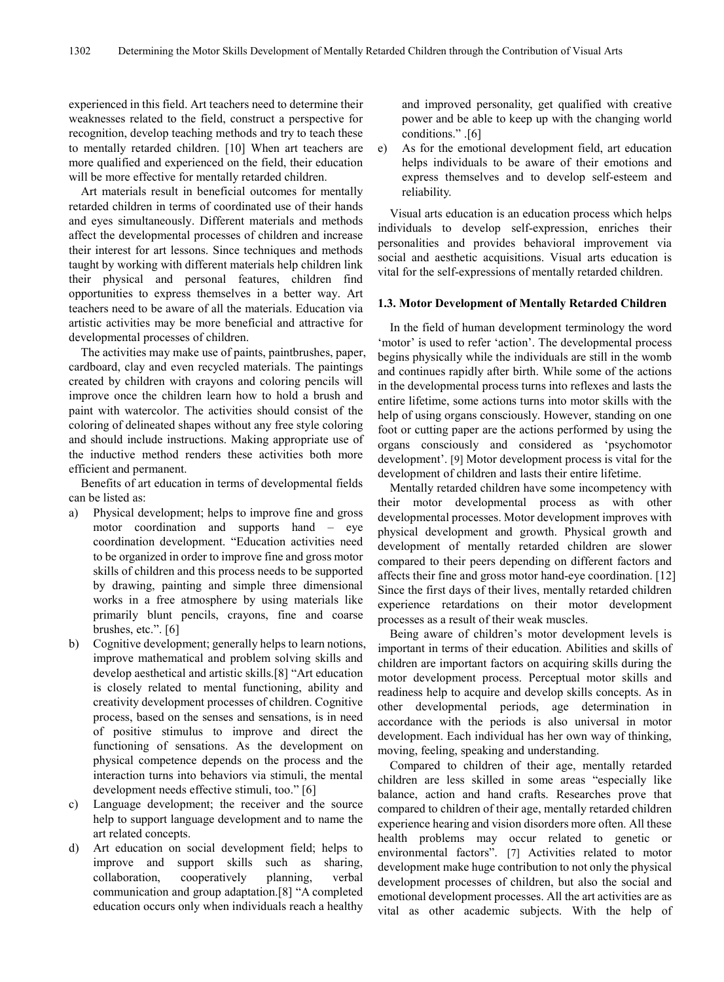experienced in this field. Art teachers need to determine their weaknesses related to the field, construct a perspective for recognition, develop teaching methods and try to teach these to mentally retarded children. [10] When art teachers are more qualified and experienced on the field, their education will be more effective for mentally retarded children.

Art materials result in beneficial outcomes for mentally retarded children in terms of coordinated use of their hands and eyes simultaneously. Different materials and methods affect the developmental processes of children and increase their interest for art lessons. Since techniques and methods taught by working with different materials help children link their physical and personal features, children find opportunities to express themselves in a better way. Art teachers need to be aware of all the materials. Education via artistic activities may be more beneficial and attractive for developmental processes of children.

The activities may make use of paints, paintbrushes, paper, cardboard, clay and even recycled materials. The paintings created by children with crayons and coloring pencils will improve once the children learn how to hold a brush and paint with watercolor. The activities should consist of the coloring of delineated shapes without any free style coloring and should include instructions. Making appropriate use of the inductive method renders these activities both more efficient and permanent.

Benefits of art education in terms of developmental fields can be listed as:

- a) Physical development; helps to improve fine and gross motor coordination and supports hand – eye coordination development. "Education activities need to be organized in order to improve fine and gross motor skills of children and this process needs to be supported by drawing, painting and simple three dimensional works in a free atmosphere by using materials like primarily blunt pencils, crayons, fine and coarse brushes, etc.". [6]
- b) Cognitive development; generally helps to learn notions, improve mathematical and problem solving skills and develop aesthetical and artistic skills.[8] "Art education is closely related to mental functioning, ability and creativity development processes of children. Cognitive process, based on the senses and sensations, is in need of positive stimulus to improve and direct the functioning of sensations. As the development on physical competence depends on the process and the interaction turns into behaviors via stimuli, the mental development needs effective stimuli, too." [6]
- c) Language development; the receiver and the source help to support language development and to name the art related concepts.
- d) Art education on social development field; helps to improve and support skills such as sharing, collaboration, cooperatively planning, verbal communication and group adaptation.[8] "A completed education occurs only when individuals reach a healthy

and improved personality, get qualified with creative power and be able to keep up with the changing world conditions." .[6]

e) As for the emotional development field, art education helps individuals to be aware of their emotions and express themselves and to develop self-esteem and reliability.

Visual arts education is an education process which helps individuals to develop self-expression, enriches their personalities and provides behavioral improvement via social and aesthetic acquisitions. Visual arts education is vital for the self-expressions of mentally retarded children.

#### **1.3. Motor Development of Mentally Retarded Children**

In the field of human development terminology the word 'motor' is used to refer 'action'. The developmental process begins physically while the individuals are still in the womb and continues rapidly after birth. While some of the actions in the developmental process turns into reflexes and lasts the entire lifetime, some actions turns into motor skills with the help of using organs consciously. However, standing on one foot or cutting paper are the actions performed by using the organs consciously and considered as 'psychomotor development'. [9] Motor development process is vital for the development of children and lasts their entire lifetime.

Mentally retarded children have some incompetency with their motor developmental process as with other developmental processes. Motor development improves with physical development and growth. Physical growth and development of mentally retarded children are slower compared to their peers depending on different factors and affects their fine and gross motor hand-eye coordination. [12] Since the first days of their lives, mentally retarded children experience retardations on their motor development processes as a result of their weak muscles.

Being aware of children's motor development levels is important in terms of their education. Abilities and skills of children are important factors on acquiring skills during the motor development process. Perceptual motor skills and readiness help to acquire and develop skills concepts. As in other developmental periods, age determination in accordance with the periods is also universal in motor development. Each individual has her own way of thinking, moving, feeling, speaking and understanding.

Compared to children of their age, mentally retarded children are less skilled in some areas "especially like balance, action and hand crafts. Researches prove that compared to children of their age, mentally retarded children experience hearing and vision disorders more often. All these health problems may occur related to genetic or environmental factors". [7] Activities related to motor development make huge contribution to not only the physical development processes of children, but also the social and emotional development processes. All the art activities are as vital as other academic subjects. With the help of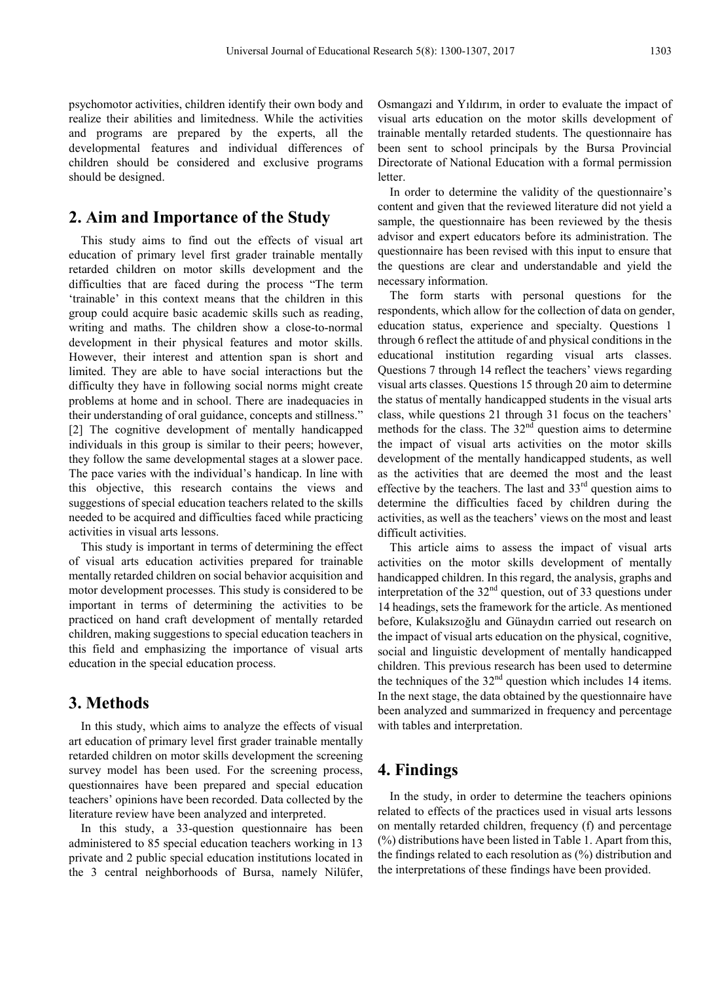psychomotor activities, children identify their own body and realize their abilities and limitedness. While the activities and programs are prepared by the experts, all the developmental features and individual differences of children should be considered and exclusive programs should be designed.

## **2. Aim and Importance of the Study**

This study aims to find out the effects of visual art education of primary level first grader trainable mentally retarded children on motor skills development and the difficulties that are faced during the process "The term 'trainable' in this context means that the children in this group could acquire basic academic skills such as reading, writing and maths. The children show a close-to-normal development in their physical features and motor skills. However, their interest and attention span is short and limited. They are able to have social interactions but the difficulty they have in following social norms might create problems at home and in school. There are inadequacies in their understanding of oral guidance, concepts and stillness." [2] The cognitive development of mentally handicapped individuals in this group is similar to their peers; however, they follow the same developmental stages at a slower pace. The pace varies with the individual's handicap. In line with this objective, this research contains the views and suggestions of special education teachers related to the skills needed to be acquired and difficulties faced while practicing activities in visual arts lessons.

This study is important in terms of determining the effect of visual arts education activities prepared for trainable mentally retarded children on social behavior acquisition and motor development processes. This study is considered to be important in terms of determining the activities to be practiced on hand craft development of mentally retarded children, making suggestions to special education teachers in this field and emphasizing the importance of visual arts education in the special education process.

#### **3. Methods**

In this study, which aims to analyze the effects of visual art education of primary level first grader trainable mentally retarded children on motor skills development the screening survey model has been used. For the screening process, questionnaires have been prepared and special education teachers' opinions have been recorded. Data collected by the literature review have been analyzed and interpreted.

In this study, a 33-question questionnaire has been administered to 85 special education teachers working in 13 private and 2 public special education institutions located in the 3 central neighborhoods of Bursa, namely Nilüfer, Osmangazi and Yıldırım, in order to evaluate the impact of visual arts education on the motor skills development of trainable mentally retarded students. The questionnaire has been sent to school principals by the Bursa Provincial Directorate of National Education with a formal permission letter.

In order to determine the validity of the questionnaire's content and given that the reviewed literature did not yield a sample, the questionnaire has been reviewed by the thesis advisor and expert educators before its administration. The questionnaire has been revised with this input to ensure that the questions are clear and understandable and yield the necessary information.

The form starts with personal questions for the respondents, which allow for the collection of data on gender, education status, experience and specialty. Questions 1 through 6 reflect the attitude of and physical conditions in the educational institution regarding visual arts classes. Questions 7 through 14 reflect the teachers' views regarding visual arts classes. Questions 15 through 20 aim to determine the status of mentally handicapped students in the visual arts class, while questions 21 through 31 focus on the teachers' methods for the class. The  $32<sup>nd</sup>$  question aims to determine the impact of visual arts activities on the motor skills development of the mentally handicapped students, as well as the activities that are deemed the most and the least effective by the teachers. The last and  $33<sup>rd</sup>$  question aims to determine the difficulties faced by children during the activities, as well as the teachers' views on the most and least difficult activities.

This article aims to assess the impact of visual arts activities on the motor skills development of mentally handicapped children. In this regard, the analysis, graphs and interpretation of the  $32<sup>nd</sup>$  question, out of 33 questions under 14 headings, sets the framework for the article. As mentioned before, Kulaksızoğlu and Günaydın carried out research on the impact of visual arts education on the physical, cognitive, social and linguistic development of mentally handicapped children. This previous research has been used to determine the techniques of the  $32<sup>nd</sup>$  question which includes 14 items. In the next stage, the data obtained by the questionnaire have been analyzed and summarized in frequency and percentage with tables and interpretation.

## **4. Findings**

In the study, in order to determine the teachers opinions related to effects of the practices used in visual arts lessons on mentally retarded children, frequency (f) and percentage (%) distributions have been listed in Table 1. Apart from this, the findings related to each resolution as (%) distribution and the interpretations of these findings have been provided.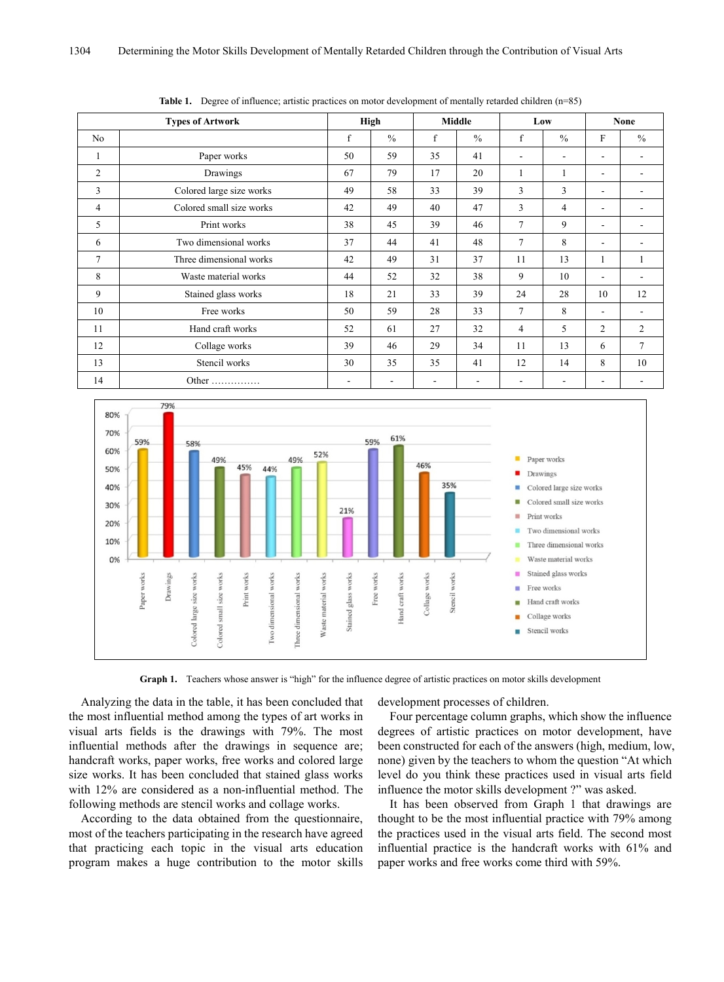| <b>Types of Artwork</b> |                          | High |      | <b>Middle</b> |               | Low                      |      | None           |               |
|-------------------------|--------------------------|------|------|---------------|---------------|--------------------------|------|----------------|---------------|
| N <sub>0</sub>          |                          | f    | $\%$ | f             | $\frac{0}{0}$ | f                        | $\%$ | F              | $\frac{0}{0}$ |
| -1                      | Paper works              | 50   | 59   | 35            | 41            | $\overline{\phantom{0}}$ | ۰    | $\overline{a}$ |               |
| 2                       | Drawings                 | 67   | 79   | 17            | 20            |                          |      | ٠              |               |
| 3                       | Colored large size works | 49   | 58   | 33            | 39            | 3                        | 3    |                |               |
| $\overline{4}$          | Colored small size works | 42   | 49   | 40            | 47            | 3                        | 4    | ۰              |               |
| 5                       | Print works              | 38   | 45   | 39            | 46            | $\overline{7}$           | 9    | ۰              |               |
| 6                       | Two dimensional works    | 37   | 44   | 41            | 48            | 7                        | 8    | ۰              |               |
| $\overline{7}$          | Three dimensional works  | 42   | 49   | 31            | 37            | 11                       | 13   | 1              |               |
| 8                       | Waste material works     | 44   | 52   | 32            | 38            | 9                        | 10   | ۰              |               |
| 9                       | Stained glass works      | 18   | 21   | 33            | 39            | 24                       | 28   | 10             | 12            |
| 10                      | Free works               | 50   | 59   | 28            | 33            | 7                        | 8    | ۰              |               |
| 11                      | Hand craft works         | 52   | 61   | 27            | 32            | 4                        | 5    | $\overline{c}$ | 2             |
| 12                      | Collage works            | 39   | 46   | 29            | 34            | 11                       | 13   | 6              | $\tau$        |
| 13                      | Stencil works            | 30   | 35   | 35            | 41            | 12                       | 14   | 8              | 10            |
| 14                      | Other                    |      |      |               |               |                          |      |                |               |

**Table 1.** Degree of influence; artistic practices on motor development of mentally retarded children (n=85)



**Graph 1.** Teachers whose answer is "high" for the influence degree of artistic practices on motor skills development

Analyzing the data in the table, it has been concluded that the most influential method among the types of art works in visual arts fields is the drawings with 79%. The most influential methods after the drawings in sequence are; handcraft works, paper works, free works and colored large size works. It has been concluded that stained glass works with 12% are considered as a non-influential method. The following methods are stencil works and collage works.

According to the data obtained from the questionnaire, most of the teachers participating in the research have agreed that practicing each topic in the visual arts education program makes a huge contribution to the motor skills

development processes of children.

Four percentage column graphs, which show the influence degrees of artistic practices on motor development, have been constructed for each of the answers (high, medium, low, none) given by the teachers to whom the question "At which level do you think these practices used in visual arts field influence the motor skills development ?" was asked.

It has been observed from Graph 1 that drawings are thought to be the most influential practice with 79% among the practices used in the visual arts field. The second most influential practice is the handcraft works with 61% and paper works and free works come third with 59%.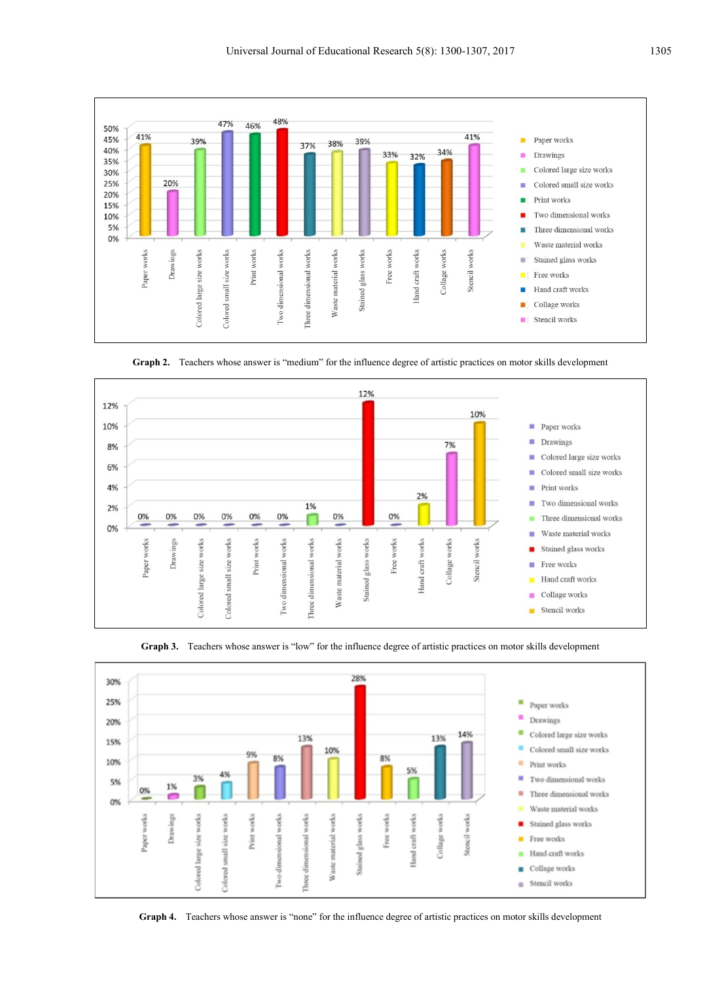

**Graph 2.** Teachers whose answer is "medium" for the influence degree of artistic practices on motor skills development







**Graph 4.** Teachers whose answer is "none" for the influence degree of artistic practices on motor skills development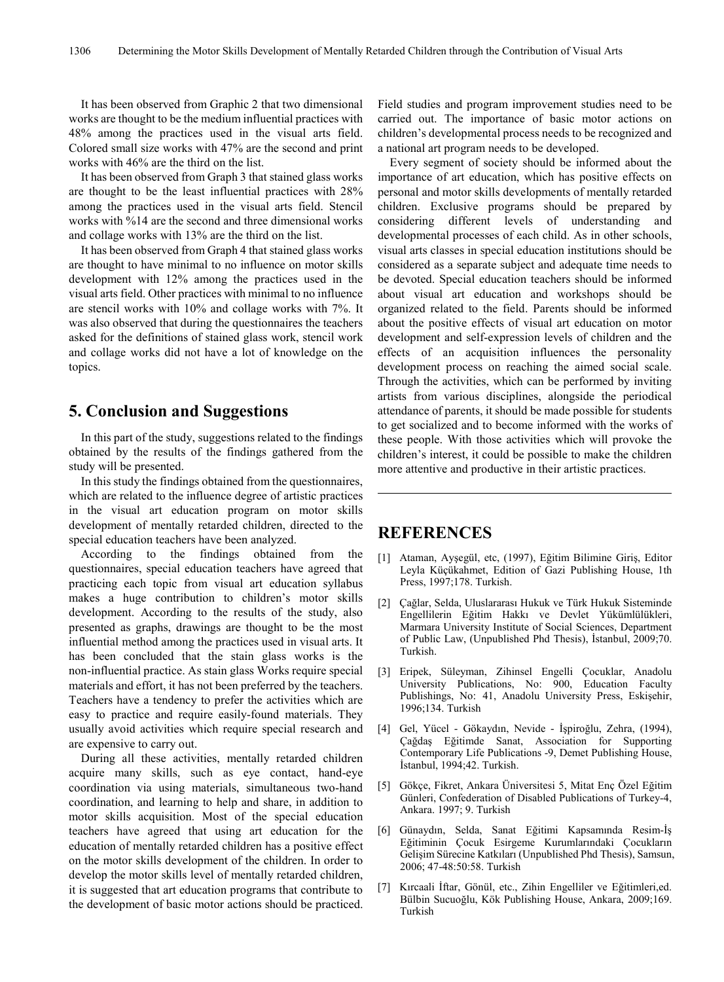It has been observed from Graphic 2 that two dimensional works are thought to be the medium influential practices with 48% among the practices used in the visual arts field. Colored small size works with 47% are the second and print works with 46% are the third on the list.

It has been observed from Graph 3 that stained glass works are thought to be the least influential practices with 28% among the practices used in the visual arts field. Stencil works with %14 are the second and three dimensional works and collage works with 13% are the third on the list.

It has been observed from Graph 4 that stained glass works are thought to have minimal to no influence on motor skills development with 12% among the practices used in the visual arts field. Other practices with minimal to no influence are stencil works with 10% and collage works with 7%. It was also observed that during the questionnaires the teachers asked for the definitions of stained glass work, stencil work and collage works did not have a lot of knowledge on the topics.

## **5. Conclusion and Suggestions**

In this part of the study, suggestions related to the findings obtained by the results of the findings gathered from the study will be presented.

In this study the findings obtained from the questionnaires, which are related to the influence degree of artistic practices in the visual art education program on motor skills development of mentally retarded children, directed to the special education teachers have been analyzed.

According to the findings obtained from the questionnaires, special education teachers have agreed that practicing each topic from visual art education syllabus makes a huge contribution to children's motor skills development. According to the results of the study, also presented as graphs, drawings are thought to be the most influential method among the practices used in visual arts. It has been concluded that the stain glass works is the non-influential practice. As stain glass Works require special materials and effort, it has not been preferred by the teachers. Teachers have a tendency to prefer the activities which are easy to practice and require easily-found materials. They usually avoid activities which require special research and are expensive to carry out.

During all these activities, mentally retarded children acquire many skills, such as eye contact, hand-eye coordination via using materials, simultaneous two-hand coordination, and learning to help and share, in addition to motor skills acquisition. Most of the special education teachers have agreed that using art education for the education of mentally retarded children has a positive effect on the motor skills development of the children. In order to develop the motor skills level of mentally retarded children, it is suggested that art education programs that contribute to the development of basic motor actions should be practiced. Field studies and program improvement studies need to be carried out. The importance of basic motor actions on children's developmental process needs to be recognized and a national art program needs to be developed.

Every segment of society should be informed about the importance of art education, which has positive effects on personal and motor skills developments of mentally retarded children. Exclusive programs should be prepared by considering different levels of understanding and developmental processes of each child. As in other schools, visual arts classes in special education institutions should be considered as a separate subject and adequate time needs to be devoted. Special education teachers should be informed about visual art education and workshops should be organized related to the field. Parents should be informed about the positive effects of visual art education on motor development and self-expression levels of children and the effects of an acquisition influences the personality development process on reaching the aimed social scale. Through the activities, which can be performed by inviting artists from various disciplines, alongside the periodical attendance of parents, it should be made possible for students to get socialized and to become informed with the works of these people. With those activities which will provoke the children's interest, it could be possible to make the children more attentive and productive in their artistic practices.

# **REFERENCES**

- [1] Ataman, Ayşegül, etc, (1997), Eğitim Bilimine Giriş, Editor Leyla Küçükahmet, Edition of Gazi Publishing House, 1th Press, 1997;178. Turkish.
- [2] Çağlar, Selda, Uluslararası Hukuk ve Türk Hukuk Sisteminde Engellilerin Eğitim Hakkı ve Devlet Yükümlülükleri, Marmara University Institute of Social Sciences, Department of Public Law, (Unpublished Phd Thesis), İstanbul, 2009;70. Turkish.
- [3] Eripek, Süleyman, Zihinsel Engelli Çocuklar, Anadolu University Publications, No: 900, Education Faculty Publishings, No: 41, Anadolu University Press, Eskişehir, 1996;134. Turkish
- [4] Gel, Yücel Gökaydın, Nevide İşpiroğlu, Zehra, (1994), Çağdaş Eğitimde Sanat, Association for Supporting Contemporary Life Publications -9, Demet Publishing House, İstanbul, 1994;42. Turkish.
- [5] Gökçe, Fikret, Ankara Üniversitesi 5, Mitat Enç Özel Eğitim Günleri, Confederation of Disabled Publications of Turkey-4, Ankara. 1997; 9. Turkish
- [6] Günaydın, Selda, Sanat Eğitimi Kapsamında Resim-İş Eğitiminin Çocuk Esirgeme Kurumlarındaki Çocukların Gelişim Sürecine Katkıları (Unpublished Phd Thesis), Samsun, 2006; 47-48:50:58. Turkish
- [7] Kırcaali İftar, Gönül, etc., Zihin Engelliler ve Eğitimleri,ed. Bülbin Sucuoğlu, Kök Publishing House, Ankara, 2009;169. Turkish